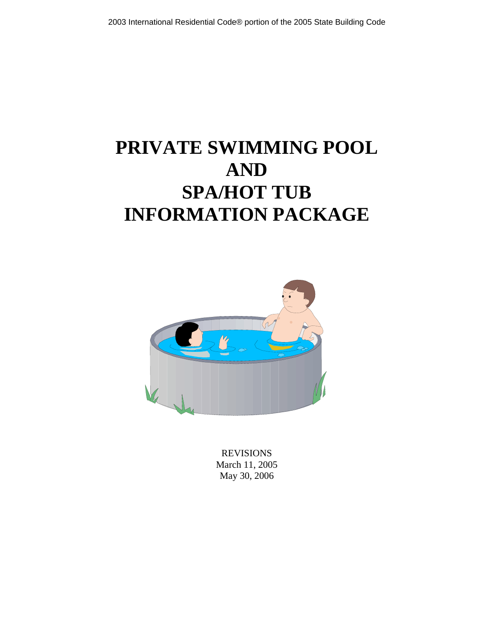# **PRIVATE SWIMMING POOL AND SPA/HOT TUB INFORMATION PACKAGE**



REVISIONS March 11, 2005 May 30, 2006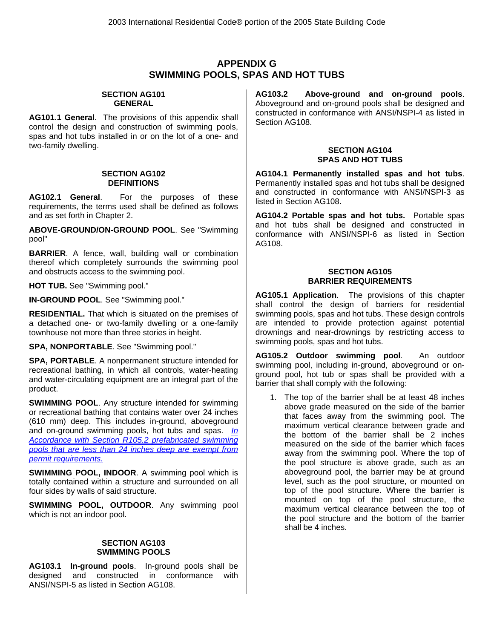# **APPENDIX G SWIMMING POOLS, SPAS AND HOT TUBS**

#### **SECTION AG101 GENERAL**

**AG101.1 General**. The provisions of this appendix shall control the design and construction of swimming pools, spas and hot tubs installed in or on the lot of a one- and two-family dwelling.

#### **SECTION AG102 DEFINITIONS**

**AG102.1 General**. For the purposes of these requirements, the terms used shall be defined as follows and as set forth in Chapter 2.

**ABOVE-GROUND/ON-GROUND POOL**. See "Swimming pool"

**BARRIER**. A fence, wall, building wall or combination thereof which completely surrounds the swimming pool and obstructs access to the swimming pool.

**HOT TUB.** See "Swimming pool."

**IN-GROUND POOL**. See "Swimming pool."

**RESIDENTIAL.** That which is situated on the premises of a detached one- or two-family dwelling or a one-family townhouse not more than three stories in height.

**SPA, NONPORTABLE**. See "Swimming pool."

**SPA, PORTABLE**. A nonpermanent structure intended for recreational bathing, in which all controls, water-heating and water-circulating equipment are an integral part of the product.

**SWIMMING POOL.** Any structure intended for swimming or recreational bathing that contains water over 24 inches (610 mm) deep. This includes in-ground, aboveground and on-ground swimming pools, hot tubs and spas. *In Accordance with Section R105.2 prefabricated swimming pools that are less than 24 inches deep are exempt from permit requirements.*

**SWIMMING POOL, INDOOR**. A swimming pool which is totally contained within a structure and surrounded on all four sides by walls of said structure.

**SWIMMING POOL, OUTDOOR**. Any swimming pool which is not an indoor pool.

# **SECTION AG103 SWIMMING POOLS**

**AG103.1 In-ground pools**. In-ground pools shall be designed and constructed in conformance with ANSI/NSPI-5 as listed in Section AG108.

**AG103.2 Above-ground and on-ground pools**. Aboveground and on-ground pools shall be designed and constructed in conformance with ANSI/NSPI-4 as listed in Section AG108.

# **SECTION AG104 SPAS AND HOT TUBS**

**AG104.1 Permanently installed spas and hot tubs**. Permanently installed spas and hot tubs shall be designed and constructed in conformance with ANSI/NSPI-3 as listed in Section AG108.

**AG104.2 Portable spas and hot tubs.** Portable spas and hot tubs shall be designed and constructed in conformance with ANSI/NSPI-6 as listed in Section AG108.

#### **SECTION AG105 BARRIER REQUIREMENTS**

**AG105.1 Application**. The provisions of this chapter shall control the design of barriers for residential swimming pools, spas and hot tubs. These design controls are intended to provide protection against potential drownings and near-drownings by restricting access to swimming pools, spas and hot tubs.

**AG105.2 Outdoor swimming pool**. An outdoor swimming pool, including in-ground, aboveground or onground pool, hot tub or spas shall be provided with a barrier that shall comply with the following:

1. The top of the barrier shall be at least 48 inches above grade measured on the side of the barrier that faces away from the swimming pool. The maximum vertical clearance between grade and the bottom of the barrier shall be 2 inches measured on the side of the barrier which faces away from the swimming pool. Where the top of the pool structure is above grade, such as an aboveground pool, the barrier may be at ground level, such as the pool structure, or mounted on top of the pool structure. Where the barrier is mounted on top of the pool structure, the maximum vertical clearance between the top of the pool structure and the bottom of the barrier shall be 4 inches.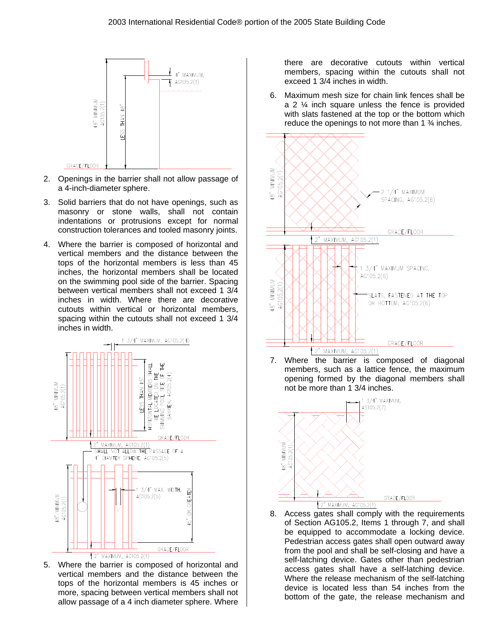

- 2. Openings in the barrier shall not allow passage of a 4-inch-diameter sphere.
- 3. Solid barriers that do not have openings, such as masonry or stone walls, shall not contain indentations or protrusions except for normal construction tolerances and tooled masonry joints.
- 4. Where the barrier is composed of horizontal and vertical members and the distance between the tops of the horizontal members is less than 45 inches, the horizontal members shall be located on the swimming pool side of the barrier. Spacing between vertical members shall not exceed 1 3/4 inches in width. Where there are decorative cutouts within vertical or horizontal members, spacing within the cutouts shall not exceed 1 3/4 inches in width.



5. Where the barrier is composed of horizontal and vertical members and the distance between the tops of the horizontal members is 45 inches or more, spacing between vertical members shall not allow passage of a 4 inch diameter sphere. Where

there are decorative cutouts within vertical members, spacing within the cutouts shall not exceed 1 3/4 inches in width.

6. Maximum mesh size for chain link fences shall be a 2 ¼ inch square unless the fence is provided with slats fastened at the top or the bottom which reduce the openings to not more than 1 ¾ inches.



7. Where the barrier is composed of diagonal members, such as a lattice fence, the maximum opening formed by the diagonal members shall not be more than 1 3/4 inches.



8. Access gates shall comply with the requirements of Section AG105.2, Items 1 through 7, and shall be equipped to accommodate a locking device. Pedestrian access gates shall open outward away from the pool and shall be self-closing and have a self-latching device. Gates other than pedestrian access gates shall have a self-latching device. Where the release mechanism of the self-latching device is located less than 54 inches from the bottom of the gate, the release mechanism and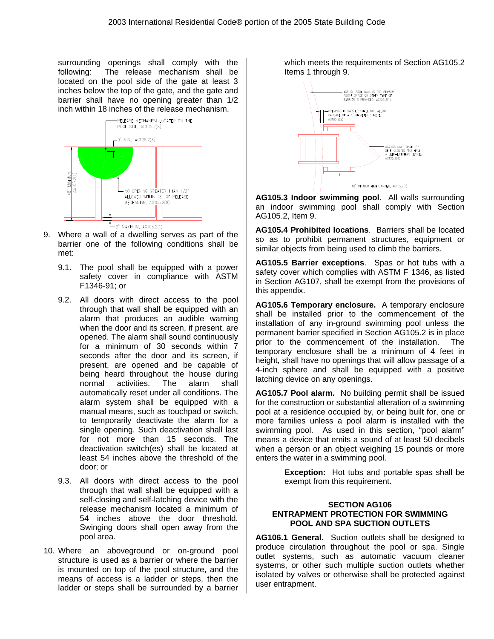surrounding openings shall comply with the following: The release mechanism shall be located on the pool side of the gate at least 3 inches below the top of the gate, and the gate and barrier shall have no opening greater than 1/2 inch within 18 inches of the release mechanism.



- 9. Where a wall of a dwelling serves as part of the barrier one of the following conditions shall be met:
	- 9.1. The pool shall be equipped with a power safety cover in compliance with ASTM F1346-91; or
	- 9.2. All doors with direct access to the pool through that wall shall be equipped with an alarm that produces an audible warning when the door and its screen, if present, are opened. The alarm shall sound continuously for a minimum of 30 seconds within 7 seconds after the door and its screen, if present, are opened and be capable of being heard throughout the house during normal activities. The alarm shall automatically reset under all conditions. The alarm system shall be equipped with a manual means, such as touchpad or switch, to temporarily deactivate the alarm for a single opening. Such deactivation shall last for not more than 15 seconds. The deactivation switch(es) shall be located at least 54 inches above the threshold of the door; or
	- 9.3. All doors with direct access to the pool through that wall shall be equipped with a self-closing and self-latching device with the release mechanism located a minimum of 54 inches above the door threshold. Swinging doors shall open away from the pool area.
- 10. Where an aboveground or on-ground pool structure is used as a barrier or where the barrier is mounted on top of the pool structure, and the means of access is a ladder or steps, then the ladder or steps shall be surrounded by a barrier

which meets the requirements of Section AG105.2 Items 1 through 9.



**AG105.3 Indoor swimming pool**. All walls surrounding an indoor swimming pool shall comply with Section AG105.2, Item 9.

**AG105.4 Prohibited locations**. Barriers shall be located so as to prohibit permanent structures, equipment or similar objects from being used to climb the barriers.

**AG105.5 Barrier exceptions**. Spas or hot tubs with a safety cover which complies with ASTM F 1346, as listed in Section AG107, shall be exempt from the provisions of this appendix.

**AG105.6 Temporary enclosure.** A temporary enclosure shall be installed prior to the commencement of the installation of any in-ground swimming pool unless the permanent barrier specified in Section AG105.2 is in place prior to the commencement of the installation. The temporary enclosure shall be a minimum of 4 feet in height, shall have no openings that will allow passage of a 4-inch sphere and shall be equipped with a positive latching device on any openings.

**AG105.7 Pool alarm.** No building permit shall be issued for the construction or substantial alteration of a swimming pool at a residence occupied by, or being built for, one or more families unless a pool alarm is installed with the swimming pool. As used in this section, "pool alarm" means a device that emits a sound of at least 50 decibels when a person or an object weighing 15 pounds or more enters the water in a swimming pool.

> **Exception:** Hot tubs and portable spas shall be exempt from this requirement.

# **SECTION AG106 ENTRAPMENT PROTECTION FOR SWIMMING POOL AND SPA SUCTION OUTLETS**

**AG106.1 General**. Suction outlets shall be designed to produce circulation throughout the pool or spa. Single outlet systems, such as automatic vacuum cleaner systems, or other such multiple suction outlets whether isolated by valves or otherwise shall be protected against user entrapment.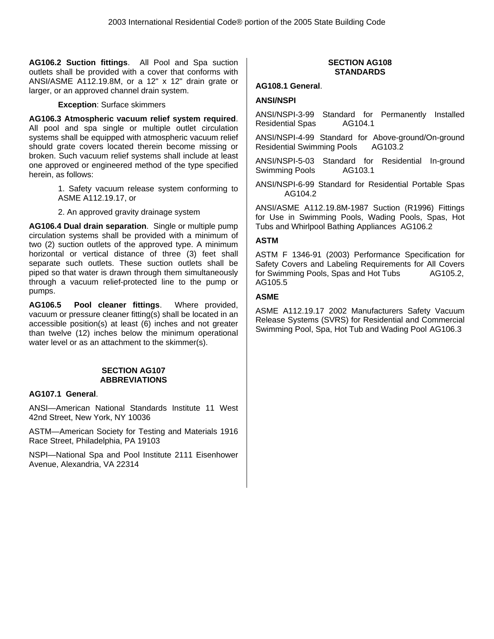**AG106.2 Suction fittings**. All Pool and Spa suction outlets shall be provided with a cover that conforms with ANSI/ASME A112.19.8M, or a 12" x 12" drain grate or larger, or an approved channel drain system.

**Exception**: Surface skimmers

**AG106.3 Atmospheric vacuum relief system required**. All pool and spa single or multiple outlet circulation systems shall be equipped with atmospheric vacuum relief should grate covers located therein become missing or broken. Such vacuum relief systems shall include at least one approved or engineered method of the type specified herein, as follows:

> 1. Safety vacuum release system conforming to ASME A112.19.17, or

2. An approved gravity drainage system

**AG106.4 Dual drain separation**. Single or multiple pump circulation systems shall be provided with a minimum of two (2) suction outlets of the approved type. A minimum horizontal or vertical distance of three (3) feet shall separate such outlets. These suction outlets shall be piped so that water is drawn through them simultaneously through a vacuum relief-protected line to the pump or pumps.

**AG106.5 Pool cleaner fittings**. Where provided, vacuum or pressure cleaner fitting(s) shall be located in an accessible position(s) at least (6) inches and not greater than twelve (12) inches below the minimum operational water level or as an attachment to the skimmer(s).

# **SECTION AG107 ABBREVIATIONS**

# **AG107.1 General**.

ANSI—American National Standards Institute 11 West 42nd Street, New York, NY 10036

ASTM—American Society for Testing and Materials 1916 Race Street, Philadelphia, PA 19103

NSPI—National Spa and Pool Institute 2111 Eisenhower Avenue, Alexandria, VA 22314

# **SECTION AG108 STANDARDS**

# **AG108.1 General**.

# **ANSI/NSPI**

ANSI/NSPI-3-99 Standard for Permanently Installed Residential Spas AG104.1

ANSI/NSPI-4-99 Standard for Above-ground/On-ground Residential Swimming Pools AG103.2

ANSI/NSPI-5-03 Standard for Residential In-ground Swimming Pools AG103.1

ANSI/NSPI-6-99 Standard for Residential Portable Spas AG104.2

ANSI/ASME A112.19.8M-1987 Suction (R1996) Fittings for Use in Swimming Pools, Wading Pools, Spas, Hot Tubs and Whirlpool Bathing Appliances AG106.2

# **ASTM**

ASTM F 1346-91 (2003) Performance Specification for Safety Covers and Labeling Requirements for All Covers for Swimming Pools, Spas and Hot Tubs AG105.2, AG105.5

# **ASME**

ASME A112.19.17 2002 Manufacturers Safety Vacuum Release Systems (SVRS) for Residential and Commercial Swimming Pool, Spa, Hot Tub and Wading Pool AG106.3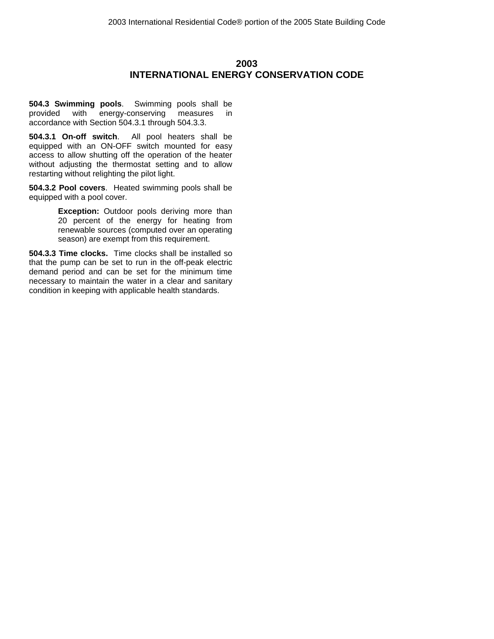# **2003 INTERNATIONAL ENERGY CONSERVATION CODE**

**504.3 Swimming pools**. Swimming pools shall be provided with energy-conserving measures in accordance with Section 504.3.1 through 504.3.3.

**504.3.1 On-off switch**. All pool heaters shall be equipped with an ON-OFF switch mounted for easy access to allow shutting off the operation of the heater without adjusting the thermostat setting and to allow restarting without relighting the pilot light.

**504.3.2 Pool covers**. Heated swimming pools shall be equipped with a pool cover.

> **Exception:** Outdoor pools deriving more than 20 percent of the energy for heating from renewable sources (computed over an operating season) are exempt from this requirement.

**504.3.3 Time clocks.** Time clocks shall be installed so that the pump can be set to run in the off-peak electric demand period and can be set for the minimum time necessary to maintain the water in a clear and sanitary condition in keeping with applicable health standards.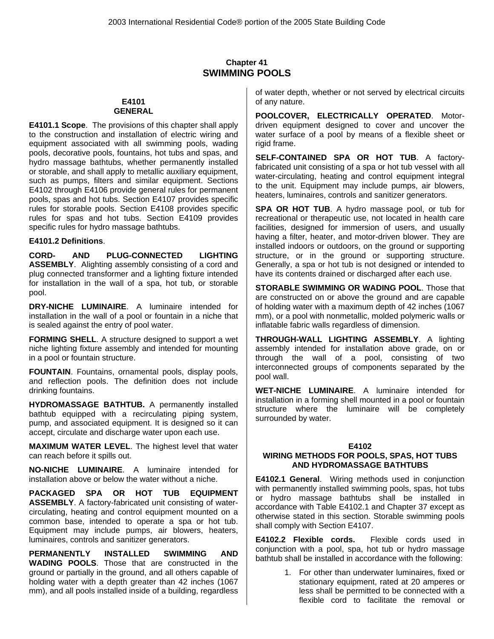# **Chapter 41 SWIMMING POOLS**

#### **E4101 GENERAL**

**E4101.1 Scope**. The provisions of this chapter shall apply to the construction and installation of electric wiring and equipment associated with all swimming pools, wading pools, decorative pools, fountains, hot tubs and spas, and hydro massage bathtubs, whether permanently installed or storable, and shall apply to metallic auxiliary equipment, such as pumps, filters and similar equipment. Sections E4102 through E4106 provide general rules for permanent pools, spas and hot tubs. Section E4107 provides specific rules for storable pools. Section E4108 provides specific rules for spas and hot tubs. Section E4109 provides specific rules for hydro massage bathtubs.

# **E4101.2 Definitions**.

**CORD- AND PLUG-CONNECTED LIGHTING ASSEMBLY**. Alighting assembly consisting of a cord and plug connected transformer and a lighting fixture intended for installation in the wall of a spa, hot tub, or storable pool.

**DRY-NICHE LUMINAIRE**. A luminaire intended for installation in the wall of a pool or fountain in a niche that is sealed against the entry of pool water.

**FORMING SHELL**. A structure designed to support a wet niche lighting fixture assembly and intended for mounting in a pool or fountain structure.

**FOUNTAIN**. Fountains, ornamental pools, display pools, and reflection pools. The definition does not include drinking fountains.

**HYDROMASSAGE BATHTUB.** A permanently installed bathtub equipped with a recirculating piping system, pump, and associated equipment. It is designed so it can accept, circulate and discharge water upon each use.

**MAXIMUM WATER LEVEL**. The highest level that water can reach before it spills out.

**NO-NICHE LUMINAIRE**. A luminaire intended for installation above or below the water without a niche.

**PACKAGED SPA OR HOT TUB EQUIPMENT ASSEMBLY**. A factory-fabricated unit consisting of watercirculating, heating and control equipment mounted on a common base, intended to operate a spa or hot tub. Equipment may include pumps, air blowers, heaters, luminaires, controls and sanitizer generators.

**PERMANENTLY INSTALLED SWIMMING AND WADING POOLS**. Those that are constructed in the ground or partially in the ground, and all others capable of holding water with a depth greater than 42 inches (1067 mm), and all pools installed inside of a building, regardless of water depth, whether or not served by electrical circuits of any nature.

**POOLCOVER, ELECTRICALLY OPERATED**. Motordriven equipment designed to cover and uncover the water surface of a pool by means of a flexible sheet or rigid frame.

**SELF-CONTAINED SPA OR HOT TUB**. A factoryfabricated unit consisting of a spa or hot tub vessel with all water-circulating, heating and control equipment integral to the unit. Equipment may include pumps, air blowers, heaters, luminaires, controls and sanitizer generators.

**SPA OR HOT TUB**. A hydro massage pool, or tub for recreational or therapeutic use, not located in health care facilities, designed for immersion of users, and usually having a filter, heater, and motor-driven blower. They are installed indoors or outdoors, on the ground or supporting structure, or in the ground or supporting structure. Generally, a spa or hot tub is not designed or intended to have its contents drained or discharged after each use.

**STORABLE SWIMMING OR WADING POOL**. Those that are constructed on or above the ground and are capable of holding water with a maximum depth of 42 inches (1067 mm), or a pool with nonmetallic, molded polymeric walls or inflatable fabric walls regardless of dimension.

**THROUGH-WALL LIGHTING ASSEMBLY**. A lighting assembly intended for installation above grade, on or through the wall of a pool, consisting of two interconnected groups of components separated by the pool wall.

**WET-NICHE LUMINAIRE**. A luminaire intended for installation in a forming shell mounted in a pool or fountain structure where the luminaire will be completely surrounded by water.

# **E4102**

# **WIRING METHODS FOR POOLS, SPAS, HOT TUBS AND HYDROMASSAGE BATHTUBS**

**E4102.1 General**. Wiring methods used in conjunction with permanently installed swimming pools, spas, hot tubs or hydro massage bathtubs shall be installed in accordance with Table E4102.1 and Chapter 37 except as otherwise stated in this section. Storable swimming pools shall comply with Section E4107.

**E4102.2 Flexible cords.** Flexible cords used in conjunction with a pool, spa, hot tub or hydro massage bathtub shall be installed in accordance with the following:

> 1. For other than underwater luminaires, fixed or stationary equipment, rated at 20 amperes or less shall be permitted to be connected with a flexible cord to facilitate the removal or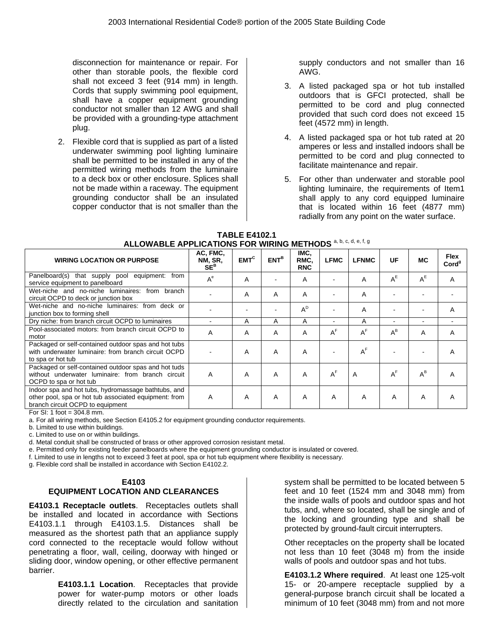disconnection for maintenance or repair. For other than storable pools, the flexible cord shall not exceed 3 feet (914 mm) in length. Cords that supply swimming pool equipment, shall have a copper equipment grounding conductor not smaller than 12 AWG and shall be provided with a grounding-type attachment plug.

2. Flexible cord that is supplied as part of a listed underwater swimming pool lighting luminaire shall be permitted to be installed in any of the permitted wiring methods from the luminaire to a deck box or other enclosure. Splices shall not be made within a raceway. The equipment grounding conductor shall be an insulated copper conductor that is not smaller than the supply conductors and not smaller than 16 AWG.

- 3. A listed packaged spa or hot tub installed outdoors that is GFCI protected, shall be permitted to be cord and plug connected provided that such cord does not exceed 15 feet (4572 mm) in length.
- 4. A listed packaged spa or hot tub rated at 20 amperes or less and installed indoors shall be permitted to be cord and plug connected to facilitate maintenance and repair.
- 5. For other than underwater and storable pool lighting luminaire, the requirements of Item1 shall apply to any cord equipped luminaire that is located within 16 feet (4877 mm) radially from any point on the water surface.

| <b>WIRING LOCATION OR PURPOSE</b>                                                                                                                | AC, FMC,<br>NM, SR,<br>$SE^B$ | EMT <sup>c</sup> | <b>ENT</b> <sup>B</sup> | IMC.<br>RMC.<br><b>RNC</b> | <b>LFMC</b> | <b>LFNMC</b>   | UF             | МC                        | <b>Flex</b><br>Cord <sup>9</sup> |
|--------------------------------------------------------------------------------------------------------------------------------------------------|-------------------------------|------------------|-------------------------|----------------------------|-------------|----------------|----------------|---------------------------|----------------------------------|
| Panelboard(s) that supply pool equipment: from<br>service equipment to panelboard                                                                | $A^e$                         | A                |                         | A                          |             | A              | $A^E$          | $\mathsf{A}^{\mathsf{E}}$ | Α                                |
| Wet-niche and no-niche luminaires: from branch<br>circuit OCPD to deck or junction box                                                           |                               | A                | A                       | A                          |             | A              |                |                           |                                  |
| Wet-niche and no-niche luminaires: from deck or<br>junction box to forming shell                                                                 |                               | -                |                         | $A^D$                      |             | A              |                |                           | A                                |
| Dry niche: from branch circuit OCPD to luminaires                                                                                                |                               | A                | A                       | A                          | ۰           | A              | ۰              |                           | $\overline{\phantom{0}}$         |
| Pool-associated motors: from branch circuit OCPD to<br>motor                                                                                     | A                             | A                | A                       | A                          | $A^F$       | $A^F$          | $A^B$          | A                         | A                                |
| Packaged or self-contained outdoor spas and hot tubs<br>with underwater luminaire: from branch circuit OCPD<br>to spa or hot tub                 |                               | A                | A                       | A                          | -           | $A^F$          |                |                           | A                                |
| Packaged or self-contained outdoor spas and hot tuds<br>without underwater luminaire: from branch circuit<br>OCPD to spa or hot tub              | A                             | A                | A                       | A                          | $A^F$       | $\overline{A}$ | A <sup>F</sup> | $A^B$                     | Α                                |
| Indoor spa and hot tubs, hydromassage bathtubs, and<br>other pool, spa or hot tub associated equipment: from<br>branch circuit OCPD to equipment | A                             | A                | A                       | A                          | A           | A              | A              | A                         | A                                |

| <b>TABLE E4102.1</b>                                                 |  |
|----------------------------------------------------------------------|--|
| <b>ALLOWABLE APPLICATIONS FOR WIRING METHODS</b> a, b, c, d, e, f, g |  |

For SI: 1 foot =  $304.8$  mm.

a. For all wiring methods, see Section E4105.2 for equipment grounding conductor requirements.

b. Limited to use within buildings.

c. Limited to use on or within buildings.

d. Metal conduit shall be constructed of brass or other approved corrosion resistant metal.

e. Permitted only for existing feeder panelboards where the equipment grounding conductor is insulated or covered.

f. Limited to use in lengths not to exceed 3 feet at pool, spa or hot tub equipment where flexibility is necessary.

g. Flexible cord shall be installed in accordance with Section E4102.2.

# **E4103**

# **EQUIPMENT LOCATION AND CLEARANCES**

**E4103.1 Receptacle outlets**. Receptacles outlets shall be installed and located in accordance with Sections E4103.1.1 through E4103.1.5. Distances shall be measured as the shortest path that an appliance supply cord connected to the receptacle would follow without penetrating a floor, wall, ceiling, doorway with hinged or sliding door, window opening, or other effective permanent barrier.

> **E4103.1.1 Location**. Receptacles that provide power for water-pump motors or other loads directly related to the circulation and sanitation

system shall be permitted to be located between 5 feet and 10 feet (1524 mm and 3048 mm) from the inside walls of pools and outdoor spas and hot tubs, and, where so located, shall be single and of the locking and grounding type and shall be protected by ground-fault circuit interrupters.

Other receptacles on the property shall be located not less than 10 feet (3048 m) from the inside walls of pools and outdoor spas and hot tubs.

**E4103.1.2 Where required**. At least one 125-volt 15- or 20-ampere receptacle supplied by a general-purpose branch circuit shall be located a minimum of 10 feet (3048 mm) from and not more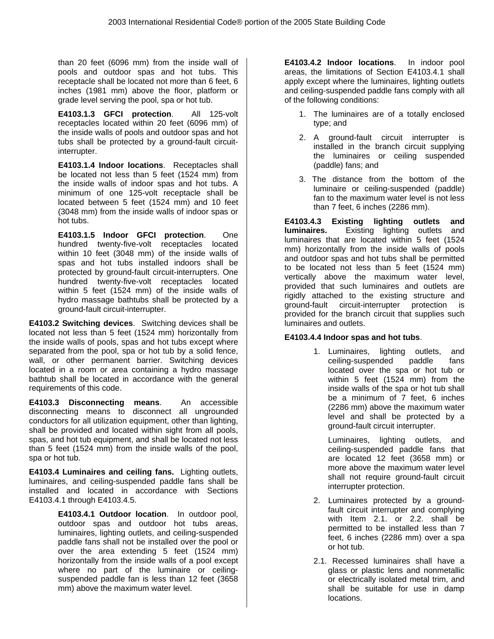than 20 feet (6096 mm) from the inside wall of pools and outdoor spas and hot tubs. This receptacle shall be located not more than 6 feet, 6 inches (1981 mm) above the floor, platform or grade level serving the pool, spa or hot tub.

**E4103.1.3 GFCI protection**. All 125-volt receptacles located within 20 feet (6096 mm) of the inside walls of pools and outdoor spas and hot tubs shall be protected by a ground-fault circuitinterrupter.

**E4103.1.4 Indoor locations**. Receptacles shall be located not less than 5 feet (1524 mm) from the inside walls of indoor spas and hot tubs. A minimum of one 125-volt receptacle shall be located between 5 feet (1524 mm) and 10 feet (3048 mm) from the inside walls of indoor spas or hot tubs.

**E4103.1.5 Indoor GFCI protection**. One hundred twenty-five-volt receptacles located within 10 feet (3048 mm) of the inside walls of spas and hot tubs installed indoors shall be protected by ground-fault circuit-interrupters. One hundred twenty-five-volt receptacles located within 5 feet (1524 mm) of the inside walls of hydro massage bathtubs shall be protected by a ground-fault circuit-interrupter.

**E4103.2 Switching devices**. Switching devices shall be located not less than 5 feet (1524 mm) horizontally from the inside walls of pools, spas and hot tubs except where separated from the pool, spa or hot tub by a solid fence, wall, or other permanent barrier. Switching devices located in a room or area containing a hydro massage bathtub shall be located in accordance with the general requirements of this code.

**E4103.3 Disconnecting means**. An accessible disconnecting means to disconnect all ungrounded conductors for all utilization equipment, other than lighting, shall be provided and located within sight from all pools, spas, and hot tub equipment, and shall be located not less than 5 feet (1524 mm) from the inside walls of the pool, spa or hot tub.

**E4103.4 Luminaires and ceiling fans.** Lighting outlets, luminaires, and ceiling-suspended paddle fans shall be installed and located in accordance with Sections E4103.4.1 through E4103.4.5.

> **E4103.4.1 Outdoor location**. In outdoor pool, outdoor spas and outdoor hot tubs areas, luminaires, lighting outlets, and ceiling-suspended paddle fans shall not be installed over the pool or over the area extending 5 feet (1524 mm) horizontally from the inside walls of a pool except where no part of the luminaire or ceilingsuspended paddle fan is less than 12 feet (3658 mm) above the maximum water level.

**E4103.4.2 Indoor locations**. In indoor pool areas, the limitations of Section E4103.4.1 shall apply except where the luminaires, lighting outlets and ceiling-suspended paddle fans comply with all of the following conditions:

- 1. The luminaires are of a totally enclosed type; and
- 2. A ground-fault circuit interrupter is installed in the branch circuit supplying the luminaires or ceiling suspended (paddle) fans; and
- 3. The distance from the bottom of the luminaire or ceiling-suspended (paddle) fan to the maximum water level is not less than 7 feet, 6 inches (2286 mm).

**E4103.4.3 Existing lighting outlets and luminaires.** Existing lighting outlets and luminaires that are located within 5 feet (1524 mm) horizontally from the inside walls of pools and outdoor spas and hot tubs shall be permitted to be located not less than 5 feet (1524 mm) vertically above the maximum water level, provided that such luminaires and outlets are rigidly attached to the existing structure and ground-fault circuit-interrupter protection is provided for the branch circuit that supplies such luminaires and outlets.

# **E4103.4.4 Indoor spas and hot tubs**.

1. Luminaires, lighting outlets, and ceiling-suspended paddle fans located over the spa or hot tub or within 5 feet (1524 mm) from the inside walls of the spa or hot tub shall be a minimum of 7 feet, 6 inches (2286 mm) above the maximum water level and shall be protected by a ground-fault circuit interrupter.

Luminaires, lighting outlets, and ceiling-suspended paddle fans that are located 12 feet (3658 mm) or more above the maximum water level shall not require ground-fault circuit interrupter protection.

- 2. Luminaires protected by a groundfault circuit interrupter and complying with Item 2.1. or 2.2. shall be permitted to be installed less than 7 feet, 6 inches (2286 mm) over a spa or hot tub.
- 2.1. Recessed luminaires shall have a glass or plastic lens and nonmetallic or electrically isolated metal trim, and shall be suitable for use in damp locations.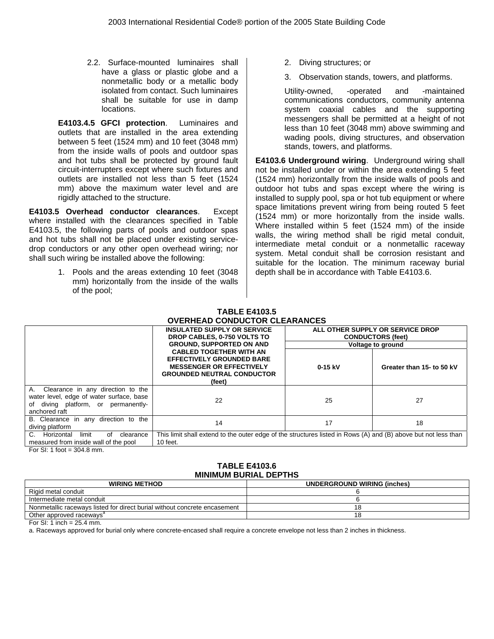2.2. Surface-mounted luminaires shall have a glass or plastic globe and a nonmetallic body or a metallic body isolated from contact. Such luminaires shall be suitable for use in damp locations.

**E4103.4.5 GFCI protection**. Luminaires and outlets that are installed in the area extending between 5 feet (1524 mm) and 10 feet (3048 mm) from the inside walls of pools and outdoor spas and hot tubs shall be protected by ground fault circuit-interrupters except where such fixtures and outlets are installed not less than 5 feet (1524 mm) above the maximum water level and are rigidly attached to the structure.

**E4103.5 Overhead conductor clearances**. Except where installed with the clearances specified in Table E4103.5, the following parts of pools and outdoor spas and hot tubs shall not be placed under existing servicedrop conductors or any other open overhead wiring; nor shall such wiring be installed above the following:

> 1. Pools and the areas extending 10 feet (3048 mm) horizontally from the inside of the walls of the pool;

- 2. Diving structures; or
- 3. Observation stands, towers, and platforms.

Utility-owned, -operated and -maintained communications conductors, community antenna system coaxial cables and the supporting messengers shall be permitted at a height of not less than 10 feet (3048 mm) above swimming and wading pools, diving structures, and observation stands, towers, and platforms.

**E4103.6 Underground wiring**. Underground wiring shall not be installed under or within the area extending 5 feet (1524 mm) horizontally from the inside walls of pools and outdoor hot tubs and spas except where the wiring is installed to supply pool, spa or hot tub equipment or where space limitations prevent wiring from being routed 5 feet (1524 mm) or more horizontally from the inside walls. Where installed within 5 feet (1524 mm) of the inside walls, the wiring method shall be rigid metal conduit, intermediate metal conduit or a nonmetallic raceway system. Metal conduit shall be corrosion resistant and suitable for the location. The minimum raceway burial depth shall be in accordance with Table E4103.6.

| UVERNEAD CONDUCTOR CLEARANCES                                                                                                            |                                                                                                                                                      |                                                              |                           |  |  |
|------------------------------------------------------------------------------------------------------------------------------------------|------------------------------------------------------------------------------------------------------------------------------------------------------|--------------------------------------------------------------|---------------------------|--|--|
| <b>INSULATED SUPPLY OR SERVICE</b><br>DROP CABLES, 0-750 VOLTS TO                                                                        |                                                                                                                                                      | ALL OTHER SUPPLY OR SERVICE DROP<br><b>CONDUCTORS (feet)</b> |                           |  |  |
|                                                                                                                                          | <b>GROUND, SUPPORTED ON AND</b>                                                                                                                      | Voltage to ground                                            |                           |  |  |
|                                                                                                                                          | <b>CABLED TOGETHER WITH AN</b><br><b>EFFECTIVELY GROUNDED BARE</b><br><b>MESSENGER OR EFFECTIVELY</b><br><b>GROUNDED NEUTRAL CONDUCTOR</b><br>(feet) | $0-15$ kV                                                    | Greater than 15- to 50 kV |  |  |
| A. Clearance in any direction to the<br>water level, edge of water surface, base<br>of diving platform, or permanently-<br>anchored raft | 22                                                                                                                                                   | 25                                                           | 27                        |  |  |
| B. Clearance in any direction to the<br>diving platform                                                                                  | 14                                                                                                                                                   | 17                                                           | 18                        |  |  |
| limit<br>C. Horizontal<br>οf<br>clearance<br>measured from inside wall of the pool                                                       | This limit shall extend to the outer edge of the structures listed in Rows (A) and (B) above but not less than<br>10 feet.                           |                                                              |                           |  |  |
| For SI: 1 foot = $304.8$ mm.                                                                                                             |                                                                                                                                                      |                                                              |                           |  |  |

#### **TABLE E4103.5 OVERHEAD CONDUCTOR CLEARANCES**

# **TABLE E4103.6 MINIMUM BURIAL DEPTHS**

| <b>WIRING METHOD</b>                                                      | <b>UNDERGROUND WIRING (inches)</b> |
|---------------------------------------------------------------------------|------------------------------------|
| Rigid metal conduit                                                       |                                    |
| Intermediate metal conduit                                                |                                    |
| Nonmetallic raceways listed for direct burial without concrete encasement |                                    |
| Other approved raceways <sup>®</sup>                                      |                                    |

For SI: 1 inch =  $25.4$  mm.

a. Raceways approved for burial only where concrete-encased shall require a concrete envelope not less than 2 inches in thickness.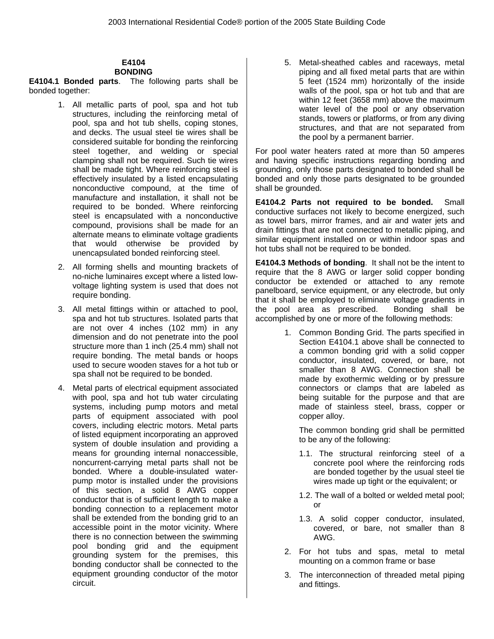#### **E4104 BONDING**

**E4104.1 Bonded parts**. The following parts shall be bonded together:

- 1. All metallic parts of pool, spa and hot tub structures, including the reinforcing metal of pool, spa and hot tub shells, coping stones, and decks. The usual steel tie wires shall be considered suitable for bonding the reinforcing steel together, and welding or special clamping shall not be required. Such tie wires shall be made tight. Where reinforcing steel is effectively insulated by a listed encapsulating nonconductive compound, at the time of manufacture and installation, it shall not be required to be bonded. Where reinforcing steel is encapsulated with a nonconductive compound, provisions shall be made for an alternate means to eliminate voltage gradients that would otherwise be provided by unencapsulated bonded reinforcing steel.
- 2. All forming shells and mounting brackets of no-niche luminaires except where a listed lowvoltage lighting system is used that does not require bonding.
- 3. All metal fittings within or attached to pool, spa and hot tub structures. Isolated parts that are not over 4 inches (102 mm) in any dimension and do not penetrate into the pool structure more than 1 inch (25.4 mm) shall not require bonding. The metal bands or hoops used to secure wooden staves for a hot tub or spa shall not be required to be bonded.
- 4. Metal parts of electrical equipment associated with pool, spa and hot tub water circulating systems, including pump motors and metal parts of equipment associated with pool covers, including electric motors. Metal parts of listed equipment incorporating an approved system of double insulation and providing a means for grounding internal nonaccessible, noncurrent-carrying metal parts shall not be bonded. Where a double-insulated waterpump motor is installed under the provisions of this section, a solid 8 AWG copper conductor that is of sufficient length to make a bonding connection to a replacement motor shall be extended from the bonding grid to an accessible point in the motor vicinity. Where there is no connection between the swimming pool bonding grid and the equipment grounding system for the premises, this bonding conductor shall be connected to the equipment grounding conductor of the motor circuit.

5. Metal-sheathed cables and raceways, metal piping and all fixed metal parts that are within 5 feet (1524 mm) horizontally of the inside walls of the pool, spa or hot tub and that are within 12 feet (3658 mm) above the maximum water level of the pool or any observation stands, towers or platforms, or from any diving structures, and that are not separated from the pool by a permanent barrier.

For pool water heaters rated at more than 50 amperes and having specific instructions regarding bonding and grounding, only those parts designated to bonded shall be bonded and only those parts designated to be grounded shall be grounded.

**E4104.2 Parts not required to be bonded.** Small conductive surfaces not likely to become energized, such as towel bars, mirror frames, and air and water jets and drain fittings that are not connected to metallic piping, and similar equipment installed on or within indoor spas and hot tubs shall not be required to be bonded.

**E4104.3 Methods of bonding**. It shall not be the intent to require that the 8 AWG or larger solid copper bonding conductor be extended or attached to any remote panelboard, service equipment, or any electrode, but only that it shall be employed to eliminate voltage gradients in the pool area as prescribed. Bonding shall be accomplished by one or more of the following methods:

> 1. Common Bonding Grid. The parts specified in Section E4104.1 above shall be connected to a common bonding grid with a solid copper conductor, insulated, covered, or bare, not smaller than 8 AWG. Connection shall be made by exothermic welding or by pressure connectors or clamps that are labeled as being suitable for the purpose and that are made of stainless steel, brass, copper or copper alloy.

The common bonding grid shall be permitted to be any of the following:

- 1.1. The structural reinforcing steel of a concrete pool where the reinforcing rods are bonded together by the usual steel tie wires made up tight or the equivalent; or
- 1.2. The wall of a bolted or welded metal pool; or
- 1.3. A solid copper conductor, insulated, covered, or bare, not smaller than 8 AWG.
- 2. For hot tubs and spas, metal to metal mounting on a common frame or base
- 3. The interconnection of threaded metal piping and fittings.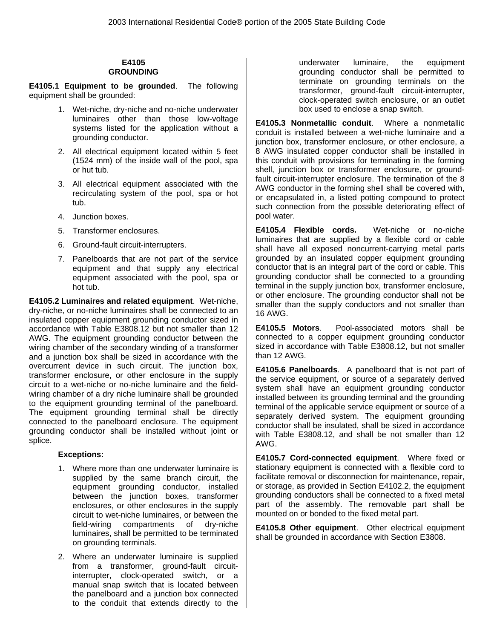# **E4105 GROUNDING**

**E4105.1 Equipment to be grounded**. The following equipment shall be grounded:

- 1. Wet-niche, dry-niche and no-niche underwater luminaires other than those low-voltage systems listed for the application without a grounding conductor.
- 2. All electrical equipment located within 5 feet (1524 mm) of the inside wall of the pool, spa or hut tub.
- 3. All electrical equipment associated with the recirculating system of the pool, spa or hot tub.
- 4. Junction boxes.
- 5. Transformer enclosures.
- 6. Ground-fault circuit-interrupters.
- 7. Panelboards that are not part of the service equipment and that supply any electrical equipment associated with the pool, spa or hot tub.

**E4105.2 Luminaires and related equipment**. Wet-niche, dry-niche, or no-niche luminaires shall be connected to an insulated copper equipment grounding conductor sized in accordance with Table E3808.12 but not smaller than 12 AWG. The equipment grounding conductor between the wiring chamber of the secondary winding of a transformer and a junction box shall be sized in accordance with the overcurrent device in such circuit. The junction box, transformer enclosure, or other enclosure in the supply circuit to a wet-niche or no-niche luminaire and the fieldwiring chamber of a dry niche luminaire shall be grounded to the equipment grounding terminal of the panelboard. The equipment grounding terminal shall be directly connected to the panelboard enclosure. The equipment grounding conductor shall be installed without joint or splice.

# **Exceptions:**

- 1. Where more than one underwater luminaire is supplied by the same branch circuit, the equipment grounding conductor, installed between the junction boxes, transformer enclosures, or other enclosures in the supply circuit to wet-niche luminaires, or between the field-wiring compartments of dry-niche luminaires, shall be permitted to be terminated on grounding terminals.
- 2. Where an underwater luminaire is supplied from a transformer, ground-fault circuitinterrupter, clock-operated switch, or a manual snap switch that is located between the panelboard and a junction box connected to the conduit that extends directly to the

underwater luminaire, the equipment grounding conductor shall be permitted to terminate on grounding terminals on the transformer, ground-fault circuit-interrupter, clock-operated switch enclosure, or an outlet box used to enclose a snap switch.

**E4105.3 Nonmetallic conduit**. Where a nonmetallic conduit is installed between a wet-niche luminaire and a junction box, transformer enclosure, or other enclosure, a 8 AWG insulated copper conductor shall be installed in this conduit with provisions for terminating in the forming shell, junction box or transformer enclosure, or groundfault circuit-interrupter enclosure. The termination of the 8 AWG conductor in the forming shell shall be covered with, or encapsulated in, a listed potting compound to protect such connection from the possible deteriorating effect of pool water.

**E4105.4 Flexible cords.** Wet-niche or no-niche luminaires that are supplied by a flexible cord or cable shall have all exposed noncurrent-carrying metal parts grounded by an insulated copper equipment grounding conductor that is an integral part of the cord or cable. This grounding conductor shall be connected to a grounding terminal in the supply junction box, transformer enclosure, or other enclosure. The grounding conductor shall not be smaller than the supply conductors and not smaller than 16 AWG.

**E4105.5 Motors**. Pool-associated motors shall be connected to a copper equipment grounding conductor sized in accordance with Table E3808.12, but not smaller than 12 AWG.

**E4105.6 Panelboards**. A panelboard that is not part of the service equipment, or source of a separately derived system shall have an equipment grounding conductor installed between its grounding terminal and the grounding terminal of the applicable service equipment or source of a separately derived system. The equipment grounding conductor shall be insulated, shall be sized in accordance with Table E3808.12, and shall be not smaller than 12 AWG.

**E4105.7 Cord-connected equipment**. Where fixed or stationary equipment is connected with a flexible cord to facilitate removal or disconnection for maintenance, repair, or storage, as provided in Section E4102.2, the equipment grounding conductors shall be connected to a fixed metal part of the assembly. The removable part shall be mounted on or bonded to the fixed metal part.

**E4105.8 Other equipment**. Other electrical equipment shall be grounded in accordance with Section E3808.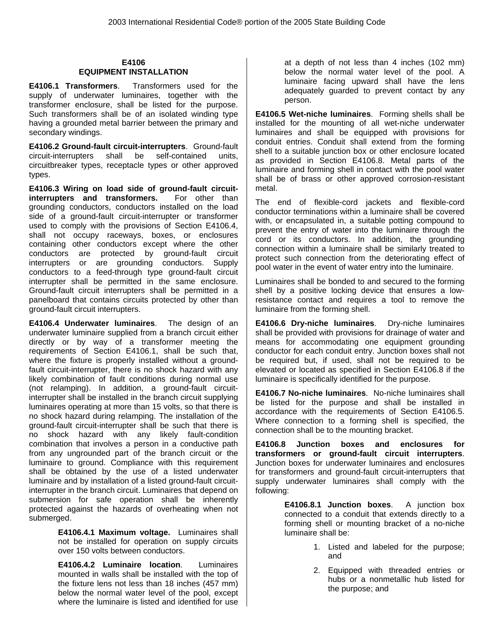# **E4106 EQUIPMENT INSTALLATION**

**E4106.1 Transformers**. Transformers used for the supply of underwater luminaires, together with the transformer enclosure, shall be listed for the purpose. Such transformers shall be of an isolated winding type having a grounded metal barrier between the primary and secondary windings.

**E4106.2 Ground-fault circuit-interrupters**. Ground-fault circuit-interrupters shall be self-contained units, circuitbreaker types, receptacle types or other approved types.

**E4106.3 Wiring on load side of ground-fault circuitinterrupters and transformers.** For other than grounding conductors, conductors installed on the load side of a ground-fault circuit-interrupter or transformer used to comply with the provisions of Section E4106.4, shall not occupy raceways, boxes, or enclosures containing other conductors except where the other conductors are protected by ground-fault circuit interrupters or are grounding conductors. Supply conductors to a feed-through type ground-fault circuit interrupter shall be permitted in the same enclosure. Ground-fault circuit interrupters shall be permitted in a panelboard that contains circuits protected by other than ground-fault circuit interrupters.

**E4106.4 Underwater luminaires**. The design of an underwater luminaire supplied from a branch circuit either directly or by way of a transformer meeting the requirements of Section E4106.1, shall be such that, where the fixture is properly installed without a groundfault circuit-interrupter, there is no shock hazard with any likely combination of fault conditions during normal use (not relamping). In addition, a ground-fault circuitinterrupter shall be installed in the branch circuit supplying luminaires operating at more than 15 volts, so that there is no shock hazard during relamping. The installation of the ground-fault circuit-interrupter shall be such that there is no shock hazard with any likely fault-condition combination that involves a person in a conductive path from any ungrounded part of the branch circuit or the luminaire to ground. Compliance with this requirement shall be obtained by the use of a listed underwater luminaire and by installation of a listed ground-fault circuitinterrupter in the branch circuit. Luminaires that depend on submersion for safe operation shall be inherently protected against the hazards of overheating when not submerged.

> **E4106.4.1 Maximum voltage.** Luminaires shall not be installed for operation on supply circuits over 150 volts between conductors.

> **E4106.4.2 Luminaire location**. Luminaires mounted in walls shall be installed with the top of the fixture lens not less than 18 inches (457 mm) below the normal water level of the pool, except where the luminaire is listed and identified for use

at a depth of not less than 4 inches (102 mm) below the normal water level of the pool. A luminaire facing upward shall have the lens adequately guarded to prevent contact by any person.

**E4106.5 Wet-niche luminaires**. Forming shells shall be installed for the mounting of all wet-niche underwater luminaires and shall be equipped with provisions for conduit entries. Conduit shall extend from the forming shell to a suitable junction box or other enclosure located as provided in Section E4106.8. Metal parts of the luminaire and forming shell in contact with the pool water shall be of brass or other approved corrosion-resistant metal.

The end of flexible-cord jackets and flexible-cord conductor terminations within a luminaire shall be covered with, or encapsulated in, a suitable potting compound to prevent the entry of water into the luminaire through the cord or its conductors. In addition, the grounding connection within a luminaire shall be similarly treated to protect such connection from the deteriorating effect of pool water in the event of water entry into the luminaire.

Luminaires shall be bonded to and secured to the forming shell by a positive locking device that ensures a lowresistance contact and requires a tool to remove the luminaire from the forming shell.

**E4106.6 Dry-niche luminaires**. Dry-niche luminaires shall be provided with provisions for drainage of water and means for accommodating one equipment grounding conductor for each conduit entry. Junction boxes shall not be required but, if used, shall not be required to be elevated or located as specified in Section E4106.8 if the luminaire is specifically identified for the purpose.

**E4106.7 No-niche luminaires**. No-niche luminaires shall be listed for the purpose and shall be installed in accordance with the requirements of Section E4106.5. Where connection to a forming shell is specified, the connection shall be to the mounting bracket.

**E4106.8 Junction boxes and enclosures for transformers or ground-fault circuit interrupters**. Junction boxes for underwater luminaires and enclosures for transformers and ground-fault circuit-interrupters that supply underwater luminaires shall comply with the following:

> **E4106.8.1 Junction boxes**. A junction box connected to a conduit that extends directly to a forming shell or mounting bracket of a no-niche luminaire shall be:

- 1. Listed and labeled for the purpose; and
- 2. Equipped with threaded entries or hubs or a nonmetallic hub listed for the purpose; and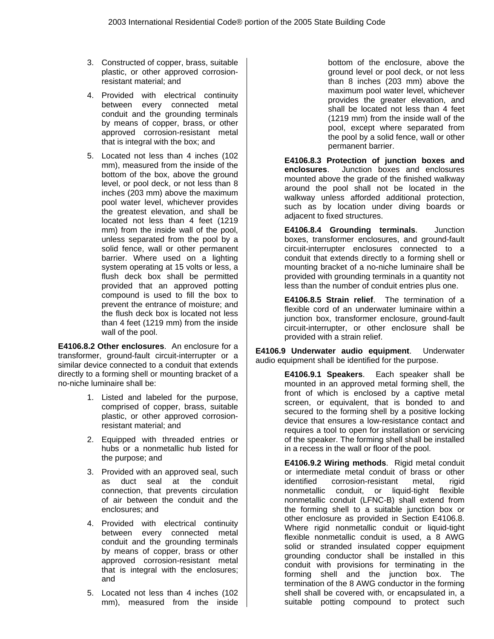- 3. Constructed of copper, brass, suitable plastic, or other approved corrosionresistant material; and
- 4. Provided with electrical continuity between every connected metal conduit and the grounding terminals by means of copper, brass, or other approved corrosion-resistant metal that is integral with the box; and
- 5. Located not less than 4 inches (102 mm), measured from the inside of the bottom of the box, above the ground level, or pool deck, or not less than 8 inches (203 mm) above the maximum pool water level, whichever provides the greatest elevation, and shall be located not less than 4 feet (1219 mm) from the inside wall of the pool, unless separated from the pool by a solid fence, wall or other permanent barrier. Where used on a lighting system operating at 15 volts or less, a flush deck box shall be permitted provided that an approved potting compound is used to fill the box to prevent the entrance of moisture; and the flush deck box is located not less than 4 feet (1219 mm) from the inside wall of the pool.

**E4106.8.2 Other enclosures**. An enclosure for a transformer, ground-fault circuit-interrupter or a similar device connected to a conduit that extends directly to a forming shell or mounting bracket of a no-niche luminaire shall be:

- 1. Listed and labeled for the purpose, comprised of copper, brass, suitable plastic, or other approved corrosionresistant material; and
- 2. Equipped with threaded entries or hubs or a nonmetallic hub listed for the purpose; and
- 3. Provided with an approved seal, such as duct seal at the conduit connection, that prevents circulation of air between the conduit and the enclosures; and
- 4. Provided with electrical continuity between every connected metal conduit and the grounding terminals by means of copper, brass or other approved corrosion-resistant metal that is integral with the enclosures; and
- 5. Located not less than 4 inches (102 mm), measured from the inside

bottom of the enclosure, above the ground level or pool deck, or not less than 8 inches (203 mm) above the maximum pool water level, whichever provides the greater elevation, and shall be located not less than 4 feet (1219 mm) from the inside wall of the pool, except where separated from the pool by a solid fence, wall or other permanent barrier.

**E4106.8.3 Protection of junction boxes and enclosures**. Junction boxes and enclosures mounted above the grade of the finished walkway around the pool shall not be located in the walkway unless afforded additional protection, such as by location under diving boards or adjacent to fixed structures.

**E4106.8.4 Grounding terminals**. Junction boxes, transformer enclosures, and ground-fault circuit-interrupter enclosures connected to a conduit that extends directly to a forming shell or mounting bracket of a no-niche luminaire shall be provided with grounding terminals in a quantity not less than the number of conduit entries plus one.

**E4106.8.5 Strain relief**. The termination of a flexible cord of an underwater luminaire within a junction box, transformer enclosure, ground-fault circuit-interrupter, or other enclosure shall be provided with a strain relief.

**E4106.9 Underwater audio equipment**. Underwater audio equipment shall be identified for the purpose.

> **E4106.9.1 Speakers**. Each speaker shall be mounted in an approved metal forming shell, the front of which is enclosed by a captive metal screen, or equivalent, that is bonded to and secured to the forming shell by a positive locking device that ensures a low-resistance contact and requires a tool to open for installation or servicing of the speaker. The forming shell shall be installed in a recess in the wall or floor of the pool.

> **E4106.9.2 Wiring methods**. Rigid metal conduit or intermediate metal conduit of brass or other identified corrosion-resistant metal, rigid nonmetallic conduit, or liquid-tight flexible nonmetallic conduit (LFNC-B) shall extend from the forming shell to a suitable junction box or other enclosure as provided in Section E4106.8. Where rigid nonmetallic conduit or liquid-tight flexible nonmetallic conduit is used, a 8 AWG solid or stranded insulated copper equipment grounding conductor shall be installed in this conduit with provisions for terminating in the forming shell and the junction box. The termination of the 8 AWG conductor in the forming shell shall be covered with, or encapsulated in, a suitable potting compound to protect such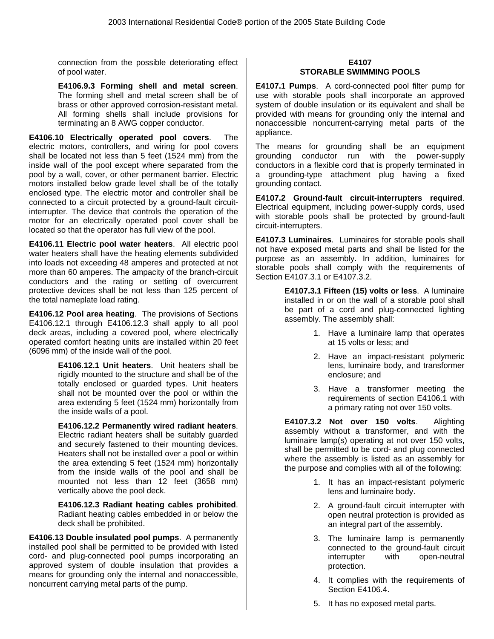connection from the possible deteriorating effect of pool water.

**E4106.9.3 Forming shell and metal screen**. The forming shell and metal screen shall be of brass or other approved corrosion-resistant metal. All forming shells shall include provisions for terminating an 8 AWG copper conductor.

**E4106.10 Electrically operated pool covers**. The electric motors, controllers, and wiring for pool covers shall be located not less than 5 feet (1524 mm) from the inside wall of the pool except where separated from the pool by a wall, cover, or other permanent barrier. Electric motors installed below grade level shall be of the totally enclosed type. The electric motor and controller shall be connected to a circuit protected by a ground-fault circuitinterrupter. The device that controls the operation of the motor for an electrically operated pool cover shall be located so that the operator has full view of the pool.

**E4106.11 Electric pool water heaters**. All electric pool water heaters shall have the heating elements subdivided into loads not exceeding 48 amperes and protected at not more than 60 amperes. The ampacity of the branch-circuit conductors and the rating or setting of overcurrent protective devices shall be not less than 125 percent of the total nameplate load rating.

**E4106.12 Pool area heating**. The provisions of Sections E4106.12.1 through E4106.12.3 shall apply to all pool deck areas, including a covered pool, where electrically operated comfort heating units are installed within 20 feet (6096 mm) of the inside wall of the pool.

> **E4106.12.1 Unit heaters**. Unit heaters shall be rigidly mounted to the structure and shall be of the totally enclosed or guarded types. Unit heaters shall not be mounted over the pool or within the area extending 5 feet (1524 mm) horizontally from the inside walls of a pool.

> **E4106.12.2 Permanently wired radiant heaters**. Electric radiant heaters shall be suitably guarded and securely fastened to their mounting devices. Heaters shall not be installed over a pool or within the area extending 5 feet (1524 mm) horizontally from the inside walls of the pool and shall be mounted not less than 12 feet (3658 mm) vertically above the pool deck.

> **E4106.12.3 Radiant heating cables prohibited**. Radiant heating cables embedded in or below the deck shall be prohibited.

**E4106.13 Double insulated pool pumps**. A permanently installed pool shall be permitted to be provided with listed cord- and plug-connected pool pumps incorporating an approved system of double insulation that provides a means for grounding only the internal and nonaccessible, noncurrent carrying metal parts of the pump.

# **E4107 STORABLE SWIMMING POOLS**

**E4107.1 Pumps**. A cord-connected pool filter pump for use with storable pools shall incorporate an approved system of double insulation or its equivalent and shall be provided with means for grounding only the internal and nonaccessible noncurrent-carrying metal parts of the appliance.

The means for grounding shall be an equipment grounding conductor run with the power-supply conductors in a flexible cord that is properly terminated in a grounding-type attachment plug having a fixed grounding contact.

**E4107.2 Ground-fault circuit-interrupters required**. Electrical equipment, including power-supply cords, used with storable pools shall be protected by ground-fault circuit-interrupters.

**E4107.3 Luminaires**. Luminaires for storable pools shall not have exposed metal parts and shall be listed for the purpose as an assembly. In addition, luminaires for storable pools shall comply with the requirements of Section E4107.3.1 or E4107.3.2.

> **E4107.3.1 Fifteen (15) volts or less**. A luminaire installed in or on the wall of a storable pool shall be part of a cord and plug-connected lighting assembly. The assembly shall:

- 1. Have a luminaire lamp that operates at 15 volts or less; and
- 2. Have an impact-resistant polymeric lens, luminaire body, and transformer enclosure; and
- 3. Have a transformer meeting the requirements of section E4106.1 with a primary rating not over 150 volts.

**E4107.3.2 Not over 150 volts**. Alighting assembly without a transformer, and with the luminaire lamp(s) operating at not over 150 volts, shall be permitted to be cord- and plug connected where the assembly is listed as an assembly for the purpose and complies with all of the following:

- 1. It has an impact-resistant polymeric lens and luminaire body.
- 2. A ground-fault circuit interrupter with open neutral protection is provided as an integral part of the assembly.
- 3. The luminaire lamp is permanently connected to the ground-fault circuit interrupter with open-neutral protection.
- 4. It complies with the requirements of Section E4106.4.
- 5. It has no exposed metal parts.